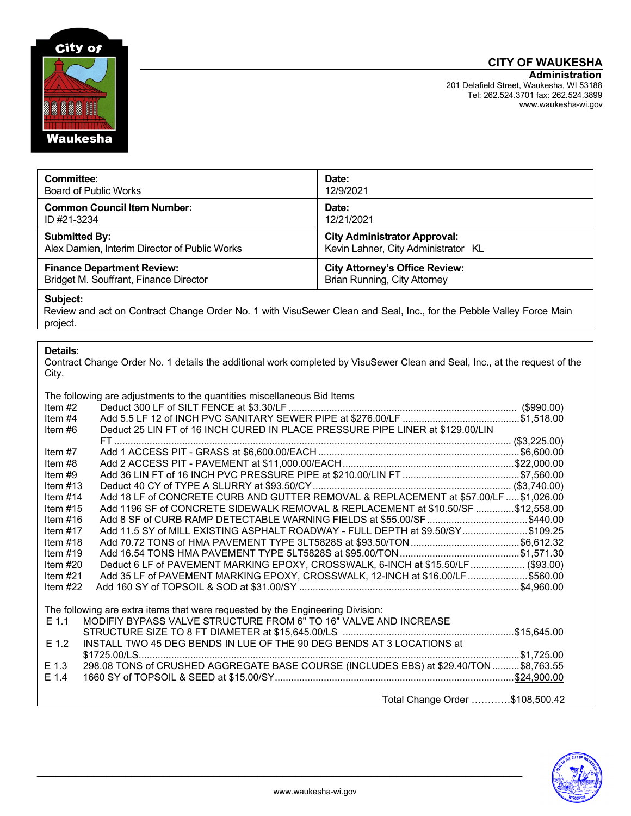# **CITY OF WAUKESHA**



| Committee:                                    | Date:                                 |
|-----------------------------------------------|---------------------------------------|
| <b>Board of Public Works</b>                  | 12/9/2021                             |
| <b>Common Council Item Number:</b>            | Date:                                 |
| ID #21-3234                                   | 12/21/2021                            |
| <b>Submitted By:</b>                          | <b>City Administrator Approval:</b>   |
| Alex Damien, Interim Director of Public Works | Kevin Lahner, City Administrator KL   |
| <b>Finance Department Review:</b>             | <b>City Attorney's Office Review:</b> |
| Bridget M. Souffrant, Finance Director        | <b>Brian Running, City Attorney</b>   |

#### **Subject:**

Review and act on Contract Change Order No. 1 with VisuSewer Clean and Seal, Inc., for the Pebble Valley Force Main project.

#### **Details**:

Contract Change Order No. 1 details the additional work completed by VisuSewer Clean and Seal, Inc., at the request of the City.

The following are adjustments to the quantities miscellaneous Bid Items

|            | The following are adjustments to the guaritates miscellarieous Did Renis               |  |
|------------|----------------------------------------------------------------------------------------|--|
| Item $#2$  |                                                                                        |  |
| Item $#4$  |                                                                                        |  |
| Item #6    | Deduct 25 LIN FT of 16 INCH CURED IN PLACE PRESSURE PIPE LINER at \$129.00/LIN         |  |
|            |                                                                                        |  |
| Item $#7$  |                                                                                        |  |
| Item #8    |                                                                                        |  |
| Item $#9$  |                                                                                        |  |
| Item $#13$ |                                                                                        |  |
| Item $#14$ | Add 18 LF of CONCRETE CURB AND GUTTER REMOVAL & REPLACEMENT at \$57.00/LF  \$1,026.00  |  |
| Item $#15$ | Add 1196 SF of CONCRETE SIDEWALK REMOVAL & REPLACEMENT at \$10.50/SF  \$12,558.00      |  |
| Item $#16$ | Add 8 SF of CURB RAMP DETECTABLE WARNING FIELDS at \$55.00/SF \$440.00                 |  |
| Item $#17$ | Add 11.5 SY of MILL EXISTING ASPHALT ROADWAY - FULL DEPTH at \$9.50/SY\$109.25         |  |
| Item $#18$ |                                                                                        |  |
| Item $#19$ |                                                                                        |  |
| Item $#20$ | Deduct 6 LF of PAVEMENT MARKING EPOXY, CROSSWALK, 6-INCH at \$15.50/LF (\$93.00)       |  |
| Item $#21$ | Add 35 LF of PAVEMENT MARKING EPOXY, CROSSWALK, 12-INCH at \$16.00/LF \$560.00         |  |
| Item $#22$ |                                                                                        |  |
|            |                                                                                        |  |
|            | The following are extra items that were requested by the Engineering Division:         |  |
| $E$ 1.1    | MODIFIY BYPASS VALVE STRUCTURE FROM 6" TO 16" VALVE AND INCREASE                       |  |
|            |                                                                                        |  |
| $E$ 1.2    | INSTALL TWO 45 DEG BENDS IN LUE OF THE 90 DEG BENDS AT 3 LOCATIONS at                  |  |
|            |                                                                                        |  |
| $E$ 1.3    | 298.08 TONS of CRUSHED AGGREGATE BASE COURSE (INCLUDES EBS) at \$29.40/TON  \$8,763.55 |  |
| $E$ 1.4    |                                                                                        |  |
|            |                                                                                        |  |
|            | Total Change Order \$108,500.42                                                        |  |
|            |                                                                                        |  |



\_\_\_\_\_\_\_\_\_\_\_\_\_\_\_\_\_\_\_\_\_\_\_\_\_\_\_\_\_\_\_\_\_\_\_\_\_\_\_\_\_\_\_\_\_\_\_\_\_\_\_\_\_\_\_\_\_\_\_\_\_\_\_\_\_\_\_\_\_\_\_\_\_\_\_\_\_